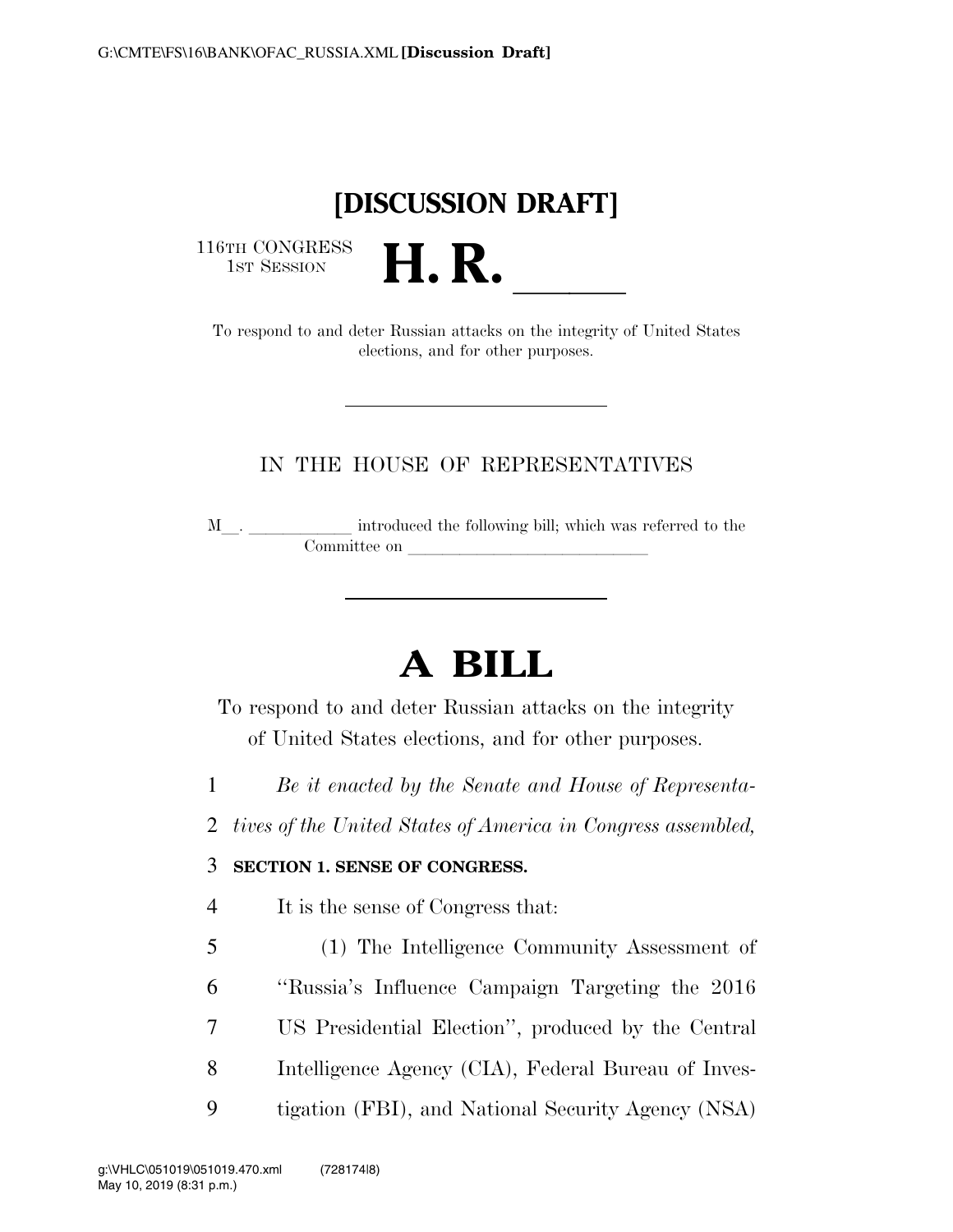# **[DISCUSSION DRAFT]**

116TH CONGRESS<br>1st Session

16TH CONGRESS<br>
1st SESSION<br>
To respond to and deter Russian attacks on the integrity of United States elections, and for other purposes.

### IN THE HOUSE OF REPRESENTATIVES

<sup>M</sup>l. llllll introduced the following bill; which was referred to the Committee on letters on a large state on  $\alpha$ 

# **A BILL**

To respond to and deter Russian attacks on the integrity of United States elections, and for other purposes.

- 1 *Be it enacted by the Senate and House of Representa-*
- 2 *tives of the United States of America in Congress assembled,*

### 3 **SECTION 1. SENSE OF CONGRESS.**

- 4 It is the sense of Congress that:
- 5 (1) The Intelligence Community Assessment of 6 ''Russia's Influence Campaign Targeting the 2016 7 US Presidential Election'', produced by the Central 8 Intelligence Agency (CIA), Federal Bureau of Inves-9 tigation (FBI), and National Security Agency (NSA)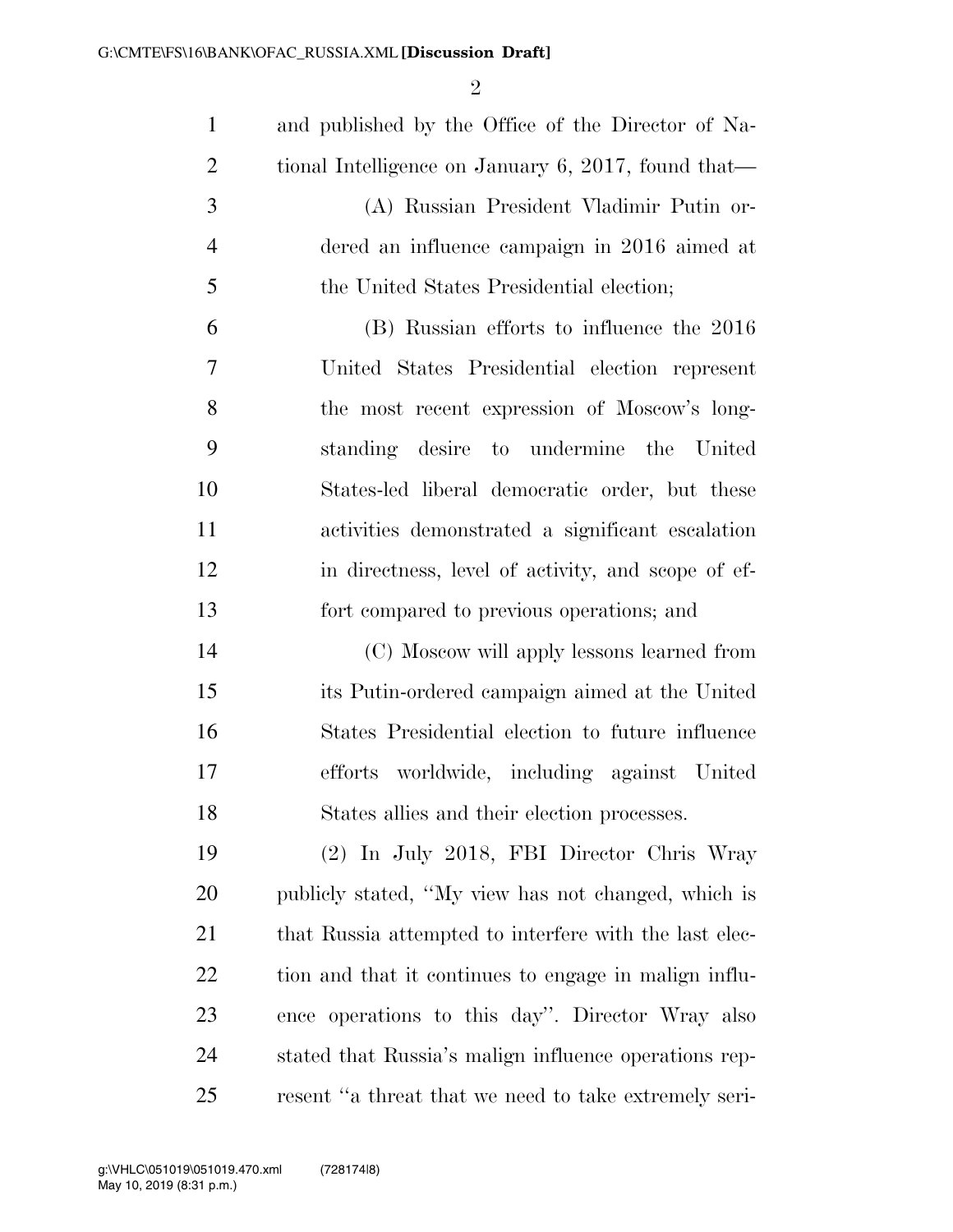| $\mathbf{1}$   | and published by the Office of the Director of Na-     |
|----------------|--------------------------------------------------------|
| $\overline{2}$ | tional Intelligence on January 6, 2017, found that—    |
| 3              | (A) Russian President Vladimir Putin or-               |
| $\overline{4}$ | dered an influence campaign in 2016 aimed at           |
| 5              | the United States Presidential election;               |
| 6              | (B) Russian efforts to influence the 2016              |
| 7              | United States Presidential election represent          |
| 8              | the most recent expression of Moscow's long-           |
| 9              | standing desire<br>to undermine the<br>United          |
| 10             | States-led liberal democratic order, but these         |
| 11             | activities demonstrated a significant escalation       |
| 12             | in directness, level of activity, and scope of ef-     |
| 13             | fort compared to previous operations; and              |
| 14             | (C) Moscow will apply lessons learned from             |
| 15             | its Putin-ordered campaign aimed at the United         |
| 16             | States Presidential election to future influence       |
| 17             | efforts worldwide, including against United            |
| 18             | States allies and their election processes.            |
| 19             | (2) In July 2018, FBI Director Chris Wray              |
| 20             | publicly stated, "My view has not changed, which is    |
| 21             | that Russia attempted to interfere with the last elec- |
| 22             | tion and that it continues to engage in malign influ-  |
| 23             | ence operations to this day". Director Wray also       |
| 24             | stated that Russia's malign influence operations rep-  |
| 25             | resent "a threat that we need to take extremely seri-  |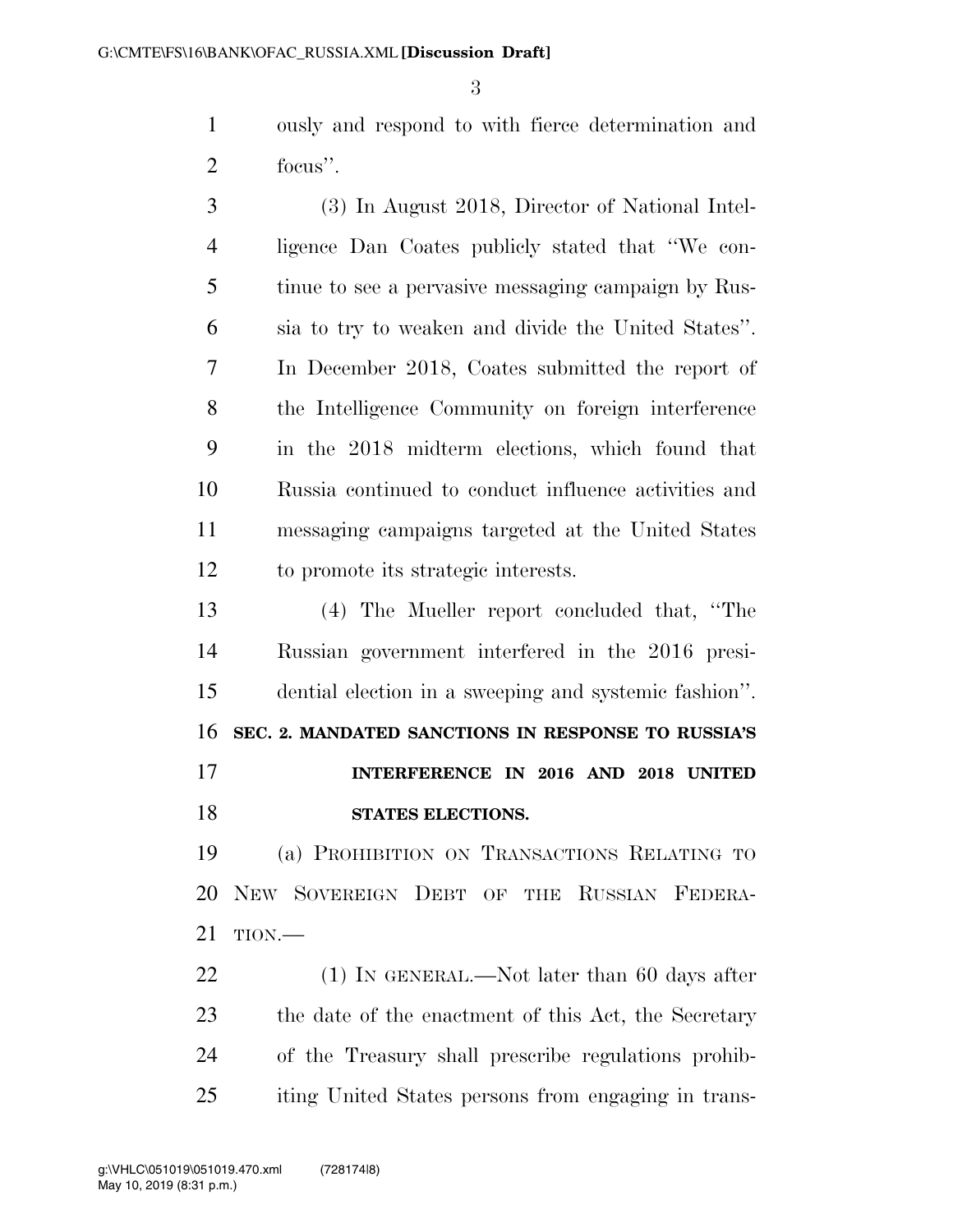ously and respond to with fierce determination and focus''.

 (3) In August 2018, Director of National Intel- ligence Dan Coates publicly stated that ''We con- tinue to see a pervasive messaging campaign by Rus- sia to try to weaken and divide the United States''. In December 2018, Coates submitted the report of the Intelligence Community on foreign interference in the 2018 midterm elections, which found that Russia continued to conduct influence activities and messaging campaigns targeted at the United States to promote its strategic interests.

 (4) The Mueller report concluded that, ''The Russian government interfered in the 2016 presi- dential election in a sweeping and systemic fashion''. **SEC. 2. MANDATED SANCTIONS IN RESPONSE TO RUSSIA'S INTERFERENCE IN 2016 AND 2018 UNITED STATES ELECTIONS.** 

 (a) PROHIBITION ON TRANSACTIONS RELATING TO NEW SOVEREIGN DEBT OF THE RUSSIAN FEDERA-TION.—

22 (1) IN GENERAL.—Not later than 60 days after 23 the date of the enactment of this Act, the Secretary of the Treasury shall prescribe regulations prohib-iting United States persons from engaging in trans-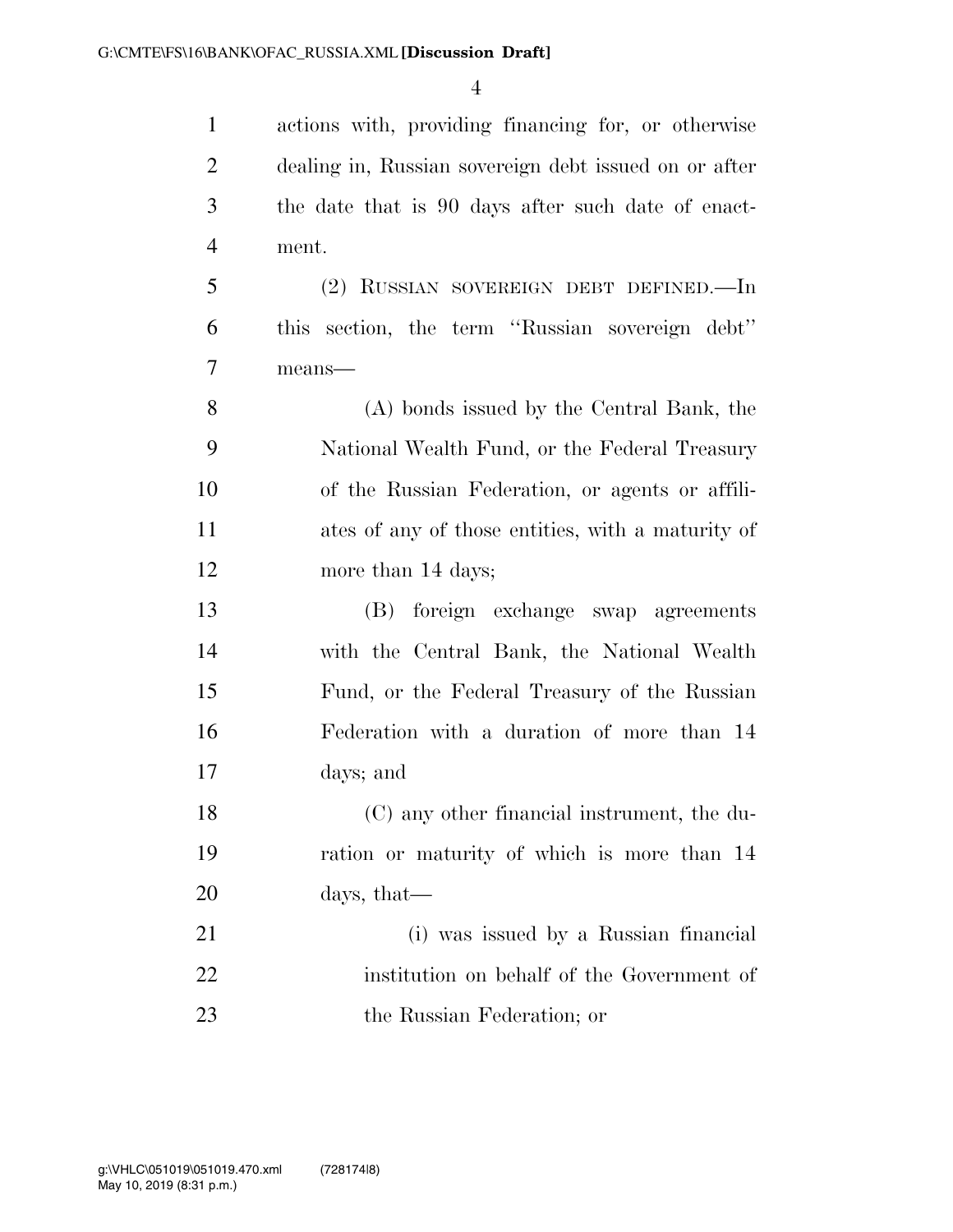| $\mathbf{1}$   | actions with, providing financing for, or otherwise   |
|----------------|-------------------------------------------------------|
| $\overline{2}$ | dealing in, Russian sovereign debt issued on or after |
| 3              | the date that is 90 days after such date of enact-    |
| $\overline{4}$ | ment.                                                 |
| 5              | (2) RUSSIAN SOVEREIGN DEBT DEFINED.—In                |
| 6              | this section, the term "Russian sovereign debt"       |
| $\overline{7}$ | $means$ —                                             |
| 8              | (A) bonds issued by the Central Bank, the             |
| 9              | National Wealth Fund, or the Federal Treasury         |
| 10             | of the Russian Federation, or agents or affili-       |
| 11             | ates of any of those entities, with a maturity of     |
| 12             | more than 14 days;                                    |
| 13             | (B) foreign exchange swap agreements                  |
| 14             | with the Central Bank, the National Wealth            |
| 15             | Fund, or the Federal Treasury of the Russian          |
| 16             | Federation with a duration of more than 14            |
| 17             | days; and                                             |
| 18             | (C) any other financial instrument, the du-           |
| 19             | ration or maturity of which is more than 14           |
| 20             | days, that—                                           |
| 21             | (i) was issued by a Russian financial                 |
| 22             | institution on behalf of the Government of            |
| 23             | the Russian Federation; or                            |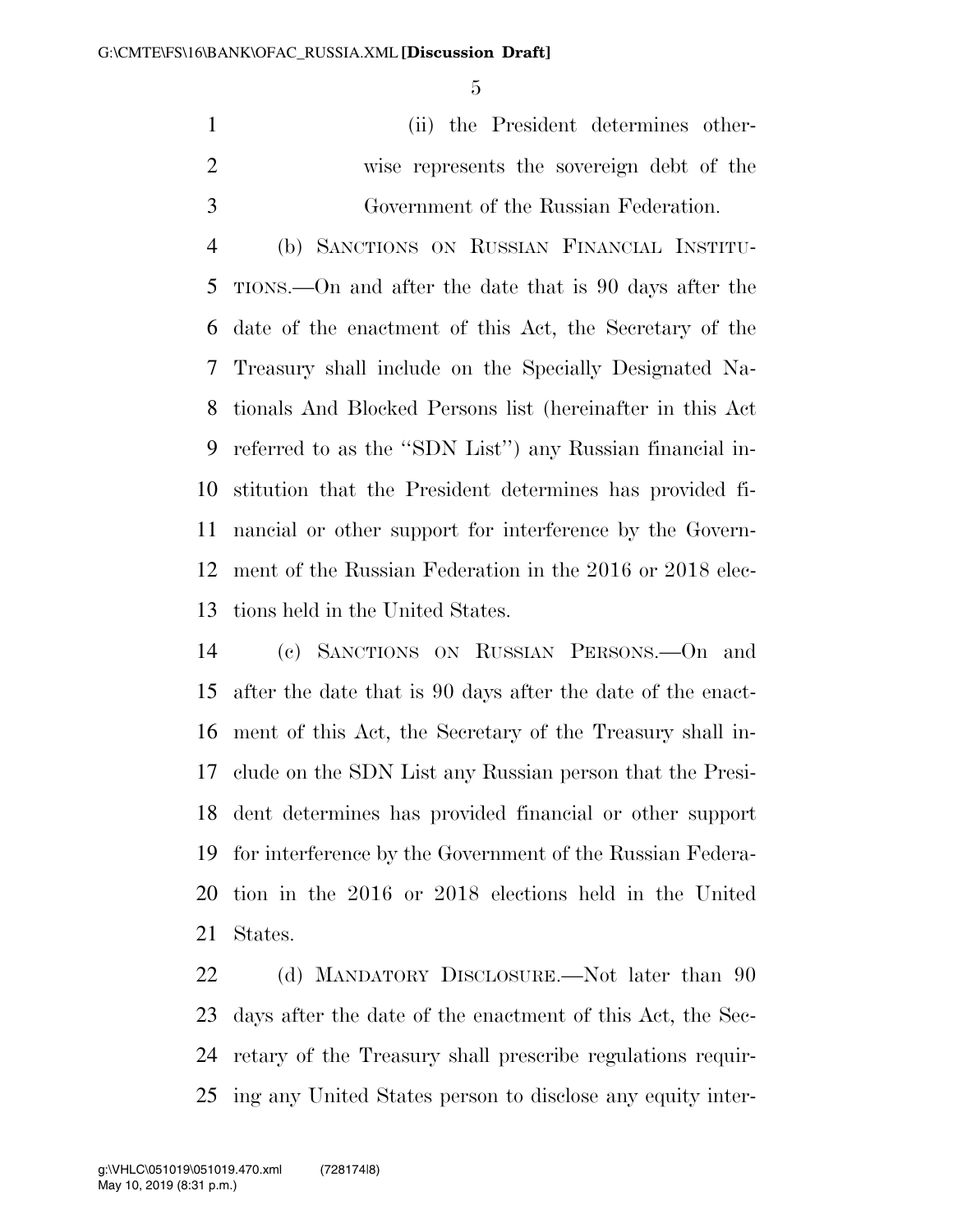(ii) the President determines other- wise represents the sovereign debt of the Government of the Russian Federation.

 (b) SANCTIONS ON RUSSIAN FINANCIAL INSTITU- TIONS.—On and after the date that is 90 days after the date of the enactment of this Act, the Secretary of the Treasury shall include on the Specially Designated Na- tionals And Blocked Persons list (hereinafter in this Act referred to as the ''SDN List'') any Russian financial in- stitution that the President determines has provided fi- nancial or other support for interference by the Govern- ment of the Russian Federation in the 2016 or 2018 elec-tions held in the United States.

 (c) SANCTIONS ON RUSSIAN PERSONS.—On and after the date that is 90 days after the date of the enact- ment of this Act, the Secretary of the Treasury shall in- clude on the SDN List any Russian person that the Presi- dent determines has provided financial or other support for interference by the Government of the Russian Federa- tion in the 2016 or 2018 elections held in the United States.

22 (d) MANDATORY DISCLOSURE.—Not later than 90 days after the date of the enactment of this Act, the Sec- retary of the Treasury shall prescribe regulations requir-ing any United States person to disclose any equity inter-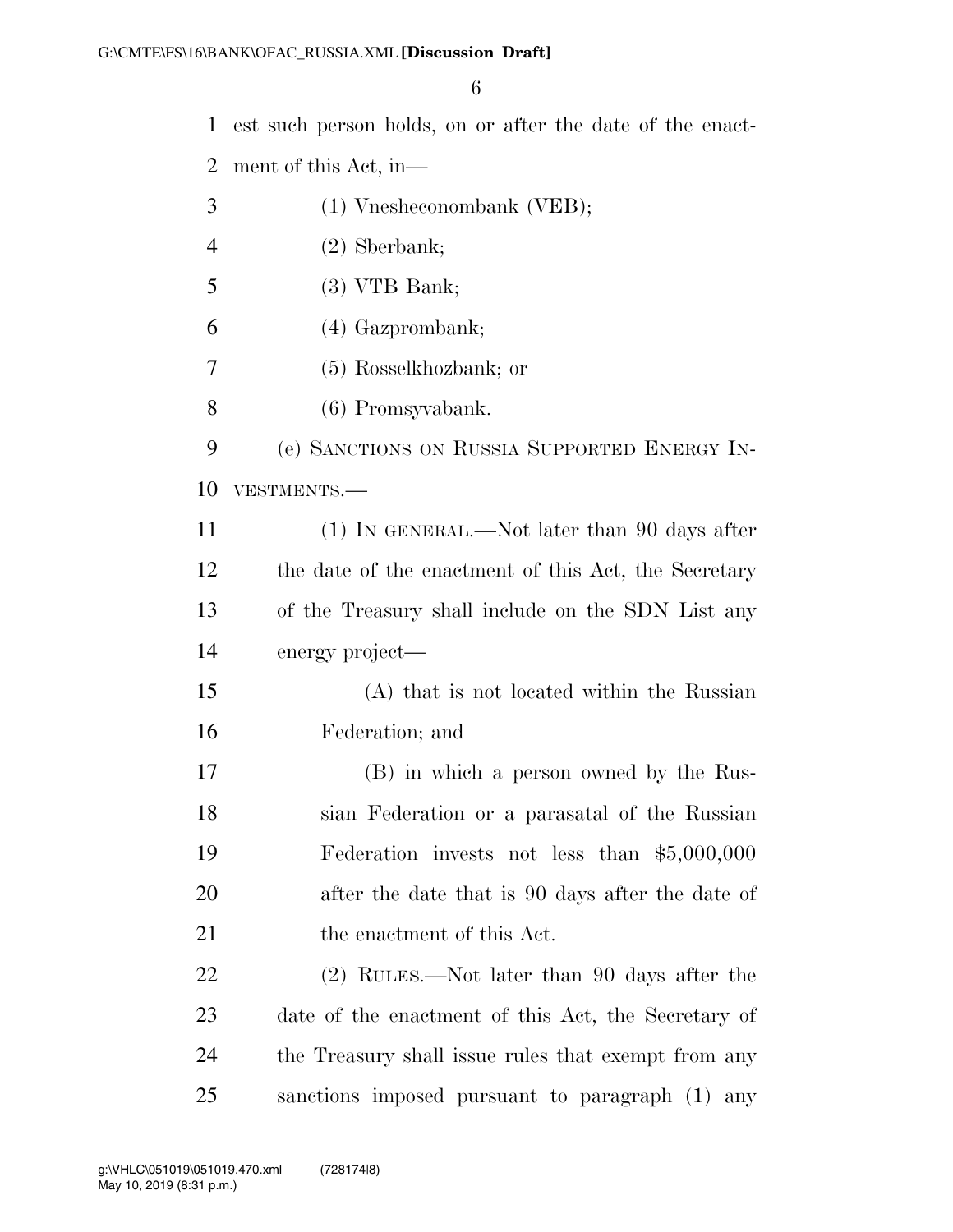est such person holds, on or after the date of the enact-

ment of this Act, in—

- (1) Vnesheconombank (VEB);
- (2) Sberbank;
- (3) VTB Bank;

(4) Gazprombank;

(5) Rosselkhozbank; or

(6) Promsyvabank.

 (e) SANCTIONS ON RUSSIA SUPPORTED ENERGY IN-VESTMENTS.—

 (1) IN GENERAL.—Not later than 90 days after the date of the enactment of this Act, the Secretary of the Treasury shall include on the SDN List any energy project—

 (A) that is not located within the Russian Federation; and

 (B) in which a person owned by the Rus- sian Federation or a parasatal of the Russian Federation invests not less than \$5,000,000 after the date that is 90 days after the date of 21 the enactment of this Act.

 (2) RULES.—Not later than 90 days after the date of the enactment of this Act, the Secretary of the Treasury shall issue rules that exempt from any sanctions imposed pursuant to paragraph (1) any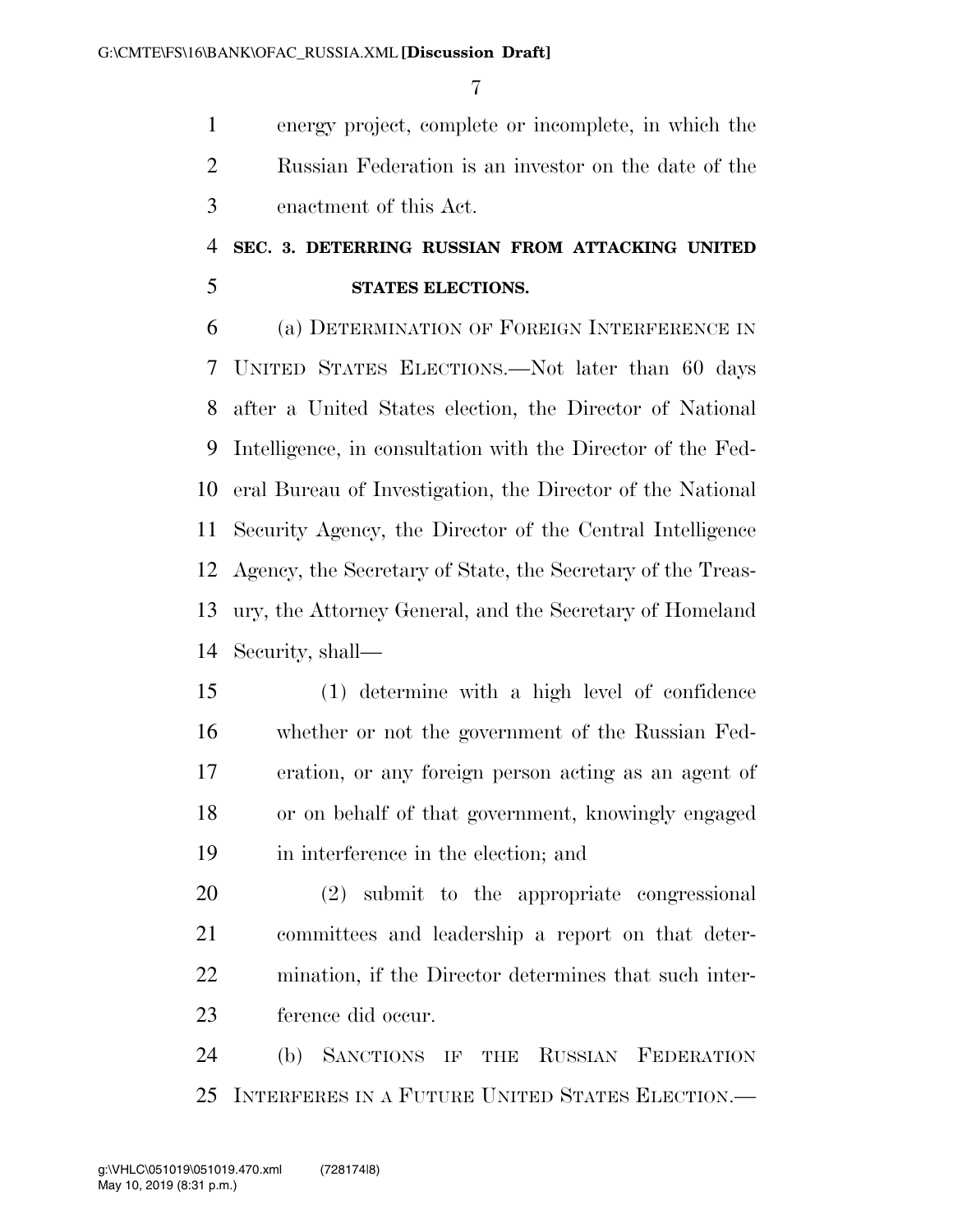energy project, complete or incomplete, in which the Russian Federation is an investor on the date of the enactment of this Act.

### **SEC. 3. DETERRING RUSSIAN FROM ATTACKING UNITED STATES ELECTIONS.**

 (a) DETERMINATION OF FOREIGN INTERFERENCE IN UNITED STATES ELECTIONS.—Not later than 60 days after a United States election, the Director of National Intelligence, in consultation with the Director of the Fed- eral Bureau of Investigation, the Director of the National Security Agency, the Director of the Central Intelligence Agency, the Secretary of State, the Secretary of the Treas- ury, the Attorney General, and the Secretary of Homeland Security, shall—

 (1) determine with a high level of confidence whether or not the government of the Russian Fed- eration, or any foreign person acting as an agent of or on behalf of that government, knowingly engaged in interference in the election; and

 (2) submit to the appropriate congressional committees and leadership a report on that deter- mination, if the Director determines that such inter-ference did occur.

 (b) SANCTIONS IF THE RUSSIAN FEDERATION INTERFERES IN A FUTURE UNITED STATES ELECTION.—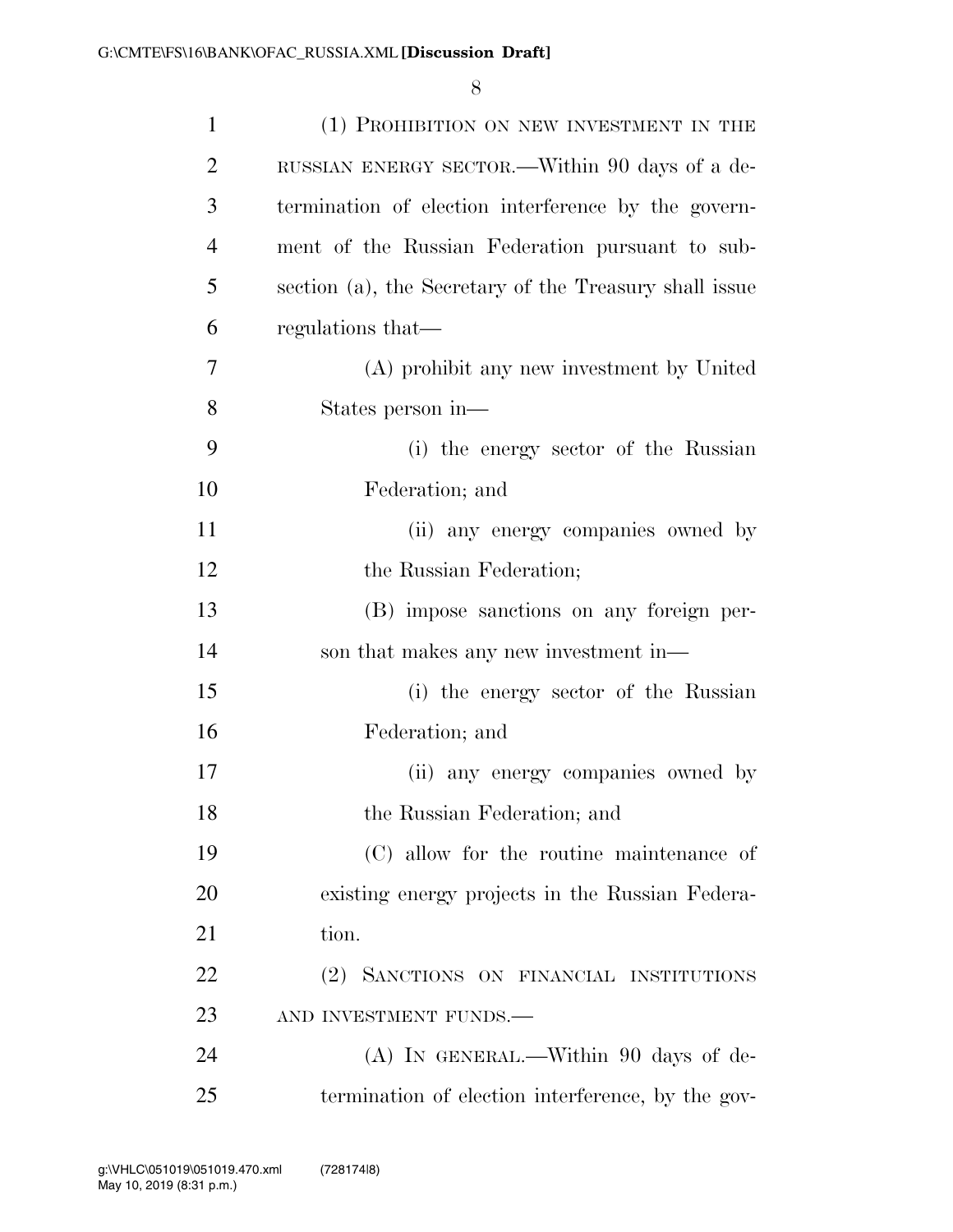| $\mathbf{1}$   | (1) PROHIBITION ON NEW INVESTMENT IN THE               |
|----------------|--------------------------------------------------------|
| $\overline{2}$ | RUSSIAN ENERGY SECTOR.—Within 90 days of a de-         |
| 3              | termination of election interference by the govern-    |
| $\overline{4}$ | ment of the Russian Federation pursuant to sub-        |
| 5              | section (a), the Secretary of the Treasury shall issue |
| 6              | regulations that—                                      |
| 7              | (A) prohibit any new investment by United              |
| 8              | States person in-                                      |
| 9              | (i) the energy sector of the Russian                   |
| 10             | Federation; and                                        |
| 11             | (ii) any energy companies owned by                     |
| 12             | the Russian Federation;                                |
| 13             | (B) impose sanctions on any foreign per-               |
| 14             | son that makes any new investment in—                  |
| 15             | (i) the energy sector of the Russian                   |
| 16             | Federation; and                                        |
| 17             | (ii) any energy companies owned by                     |
| 18             | the Russian Federation; and                            |
| 19             | (C) allow for the routine maintenance of               |
| 20             | existing energy projects in the Russian Federa-        |
| 21             | tion.                                                  |
| 22             | (2) SANCTIONS ON FINANCIAL INSTITUTIONS                |
| 23             | AND INVESTMENT FUNDS.-                                 |
| 24             | (A) IN GENERAL.—Within 90 days of de-                  |
| 25             | termination of election interference, by the gov-      |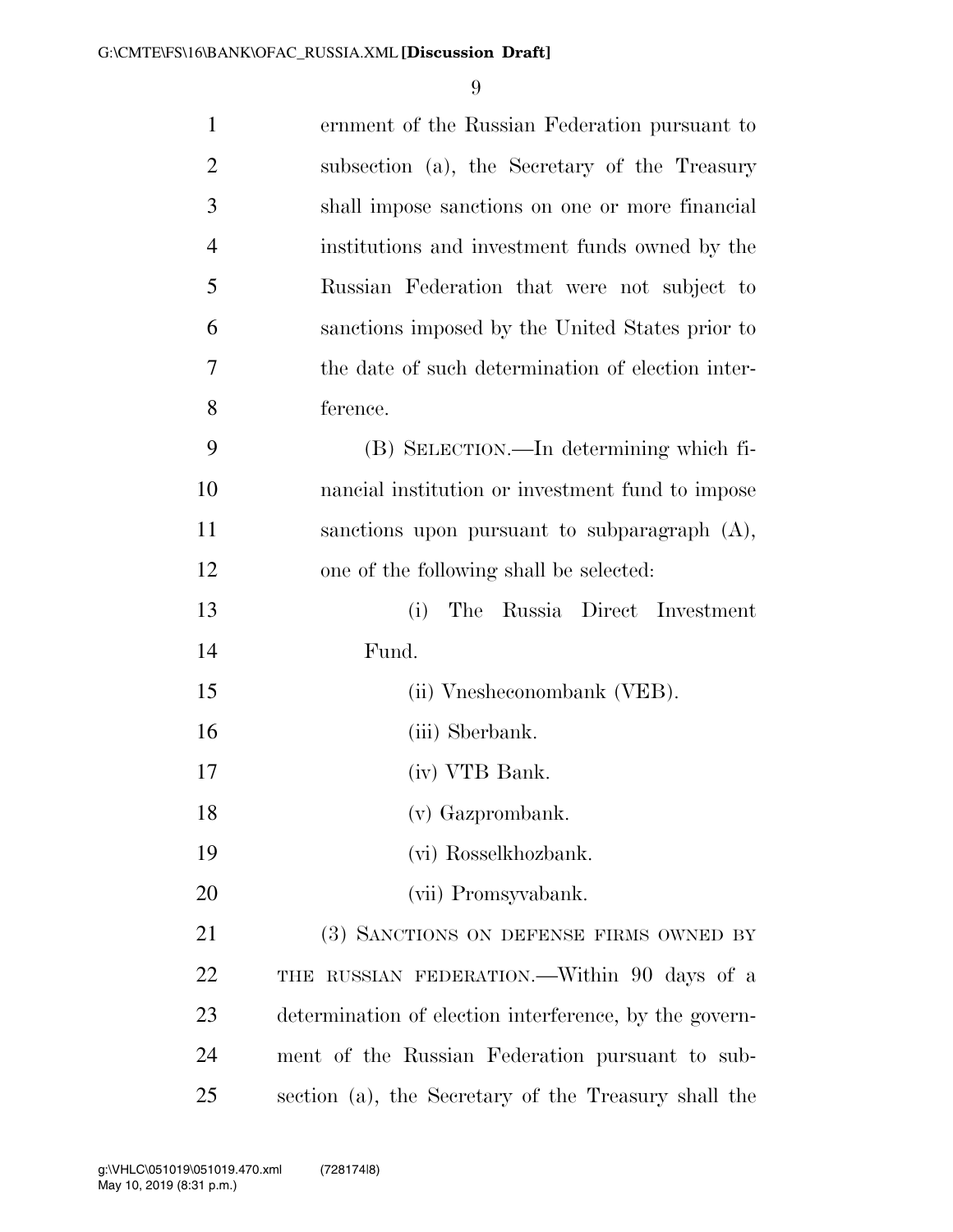| $\mathbf{1}$   | ernment of the Russian Federation pursuant to          |
|----------------|--------------------------------------------------------|
| $\overline{2}$ | subsection (a), the Secretary of the Treasury          |
| 3              | shall impose sanctions on one or more financial        |
| $\overline{4}$ | institutions and investment funds owned by the         |
| 5              | Russian Federation that were not subject to            |
| 6              | sanctions imposed by the United States prior to        |
| 7              | the date of such determination of election inter-      |
| 8              | ference.                                               |
| 9              | (B) SELECTION.—In determining which fi-                |
| 10             | nancial institution or investment fund to impose       |
| 11             | sanctions upon pursuant to subparagraph $(A)$ ,        |
| 12             | one of the following shall be selected:                |
| 13             | The Russia Direct Investment<br>(i)                    |
| 14             | Fund.                                                  |
| 15             | (ii) Vnesheconombank (VEB).                            |
| 16             | (iii) Sberbank.                                        |
| 17             | (iv) VTB Bank.                                         |
| 18             | (v) Gazprombank.                                       |
| 19             | (vi) Rosselkhozbank.                                   |
| 20             | (vii) Promsyvabank.                                    |
| 21             | (3) SANCTIONS ON DEFENSE FIRMS OWNED BY                |
| 22             | THE RUSSIAN FEDERATION.—Within 90 days of a            |
| 23             | determination of election interference, by the govern- |
| 24             | ment of the Russian Federation pursuant to sub-        |
| 25             | section (a), the Secretary of the Treasury shall the   |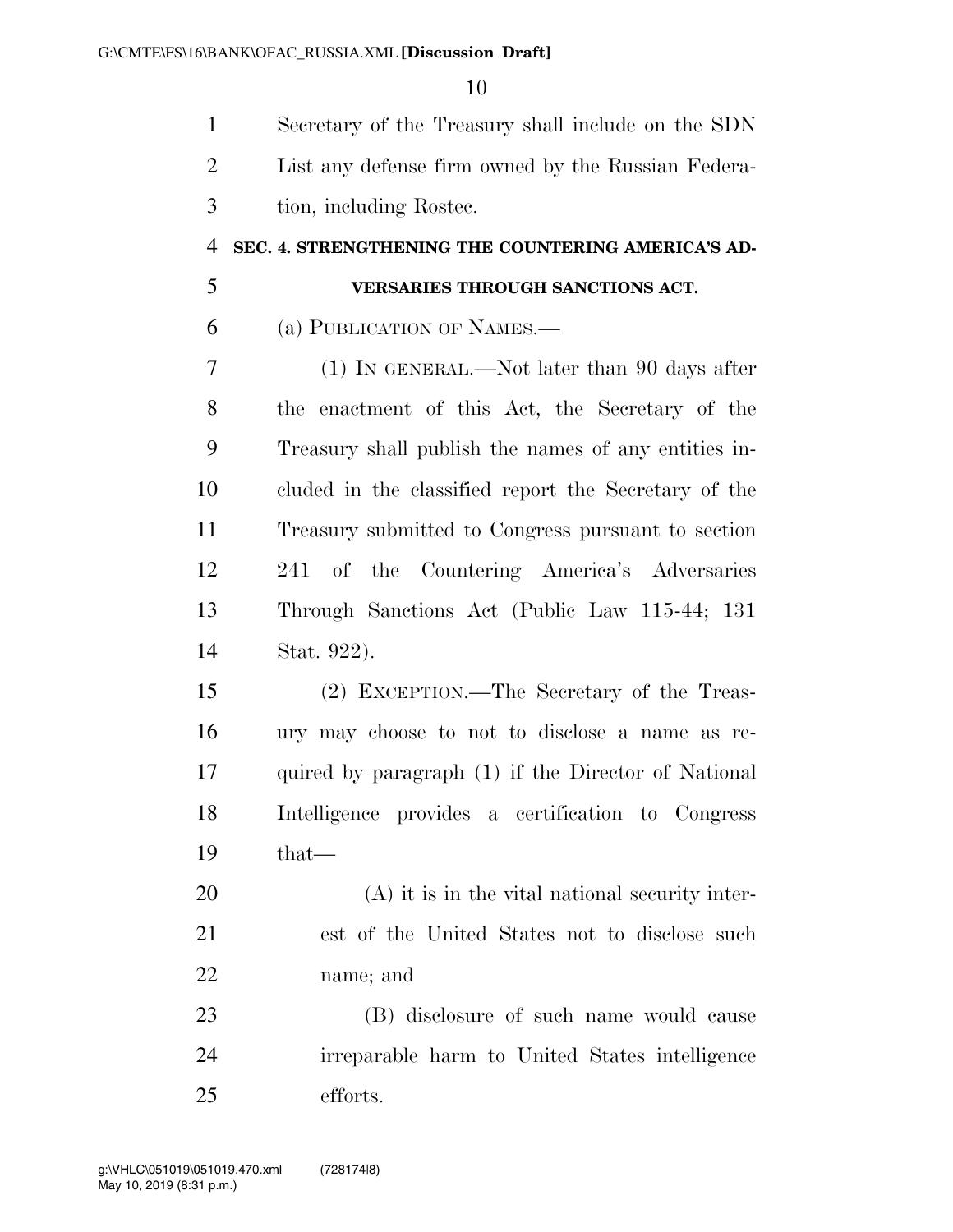Secretary of the Treasury shall include on the SDN List any defense firm owned by the Russian Federa-tion, including Rostec.

#### **SEC. 4. STRENGTHENING THE COUNTERING AMERICA'S AD-**

### **VERSARIES THROUGH SANCTIONS ACT.**

(a) PUBLICATION OF NAMES.—

 (1) IN GENERAL.—Not later than 90 days after the enactment of this Act, the Secretary of the Treasury shall publish the names of any entities in- cluded in the classified report the Secretary of the Treasury submitted to Congress pursuant to section 241 of the Countering America's Adversaries Through Sanctions Act (Public Law 115-44; 131 Stat. 922).

 (2) EXCEPTION.—The Secretary of the Treas- ury may choose to not to disclose a name as re- quired by paragraph (1) if the Director of National Intelligence provides a certification to Congress that—

 (A) it is in the vital national security inter- est of the United States not to disclose such name; and

 (B) disclosure of such name would cause irreparable harm to United States intelligence efforts.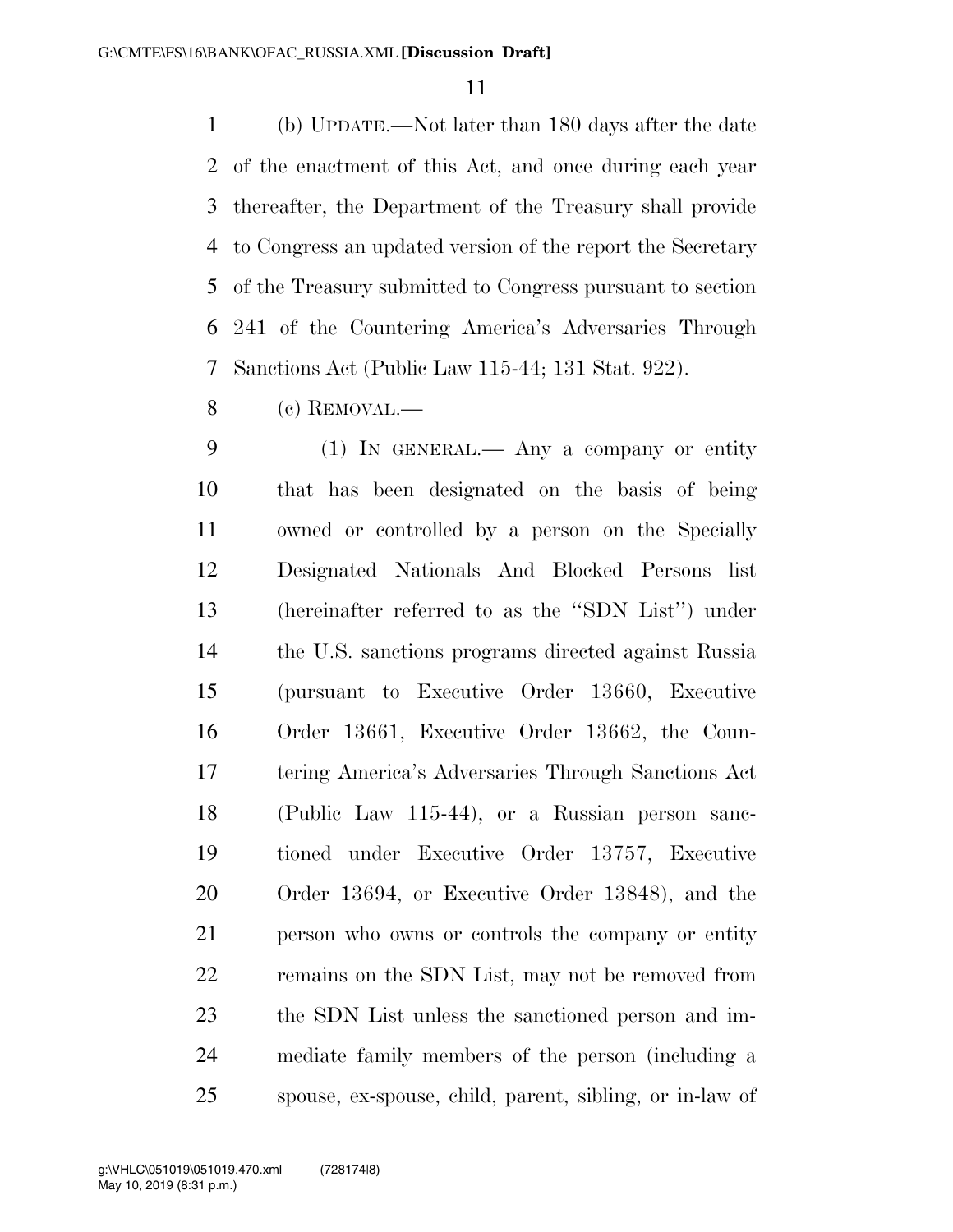(b) UPDATE.—Not later than 180 days after the date of the enactment of this Act, and once during each year thereafter, the Department of the Treasury shall provide to Congress an updated version of the report the Secretary of the Treasury submitted to Congress pursuant to section 241 of the Countering America's Adversaries Through Sanctions Act (Public Law 115-44; 131 Stat. 922).

(c) REMOVAL.—

 (1) IN GENERAL.— Any a company or entity that has been designated on the basis of being owned or controlled by a person on the Specially Designated Nationals And Blocked Persons list (hereinafter referred to as the ''SDN List'') under the U.S. sanctions programs directed against Russia (pursuant to Executive Order 13660, Executive Order 13661, Executive Order 13662, the Coun- tering America's Adversaries Through Sanctions Act (Public Law 115-44), or a Russian person sanc- tioned under Executive Order 13757, Executive Order 13694, or Executive Order 13848), and the person who owns or controls the company or entity remains on the SDN List, may not be removed from the SDN List unless the sanctioned person and im- mediate family members of the person (including a spouse, ex-spouse, child, parent, sibling, or in-law of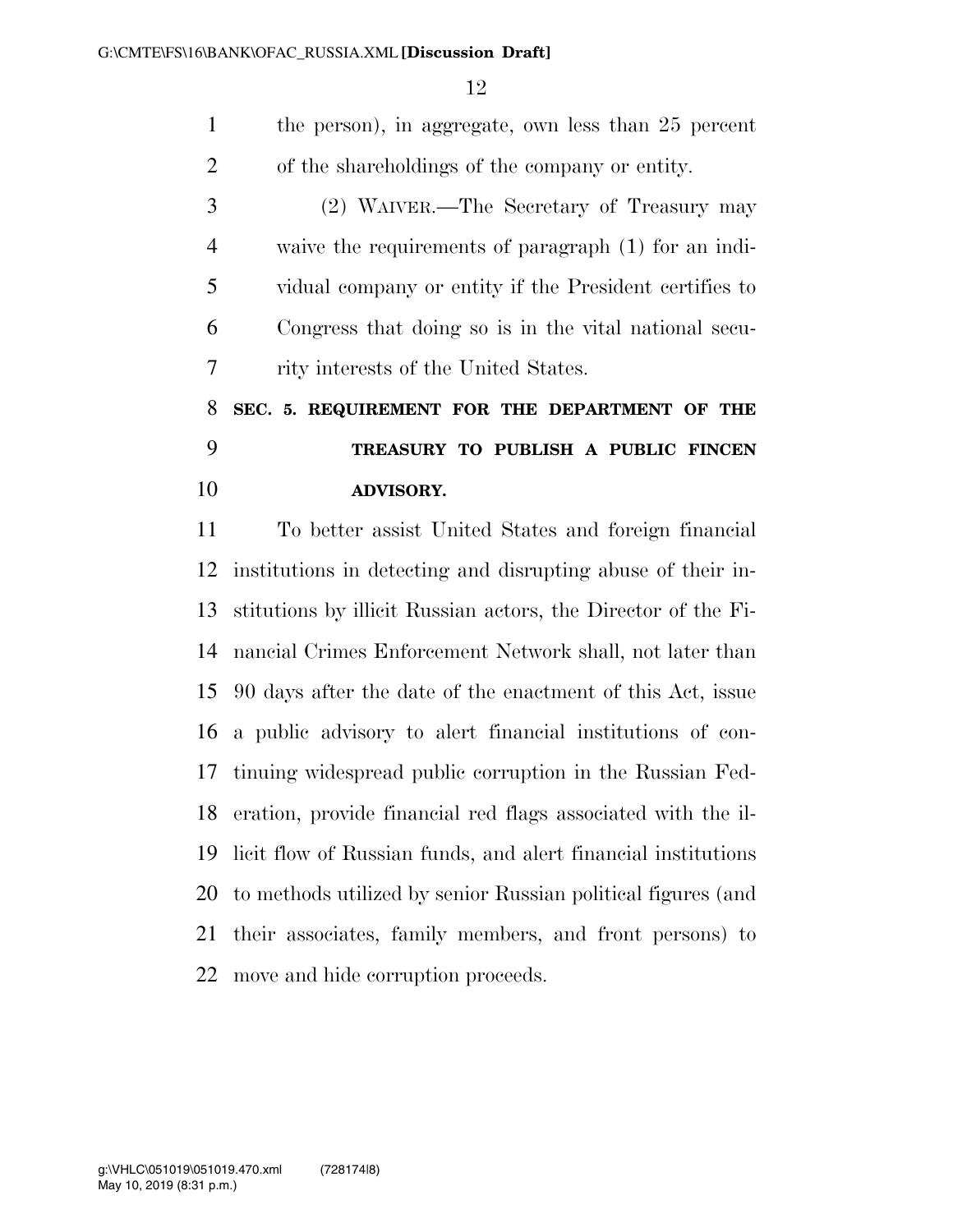the person), in aggregate, own less than 25 percent of the shareholdings of the company or entity.

 (2) WAIVER.—The Secretary of Treasury may waive the requirements of paragraph (1) for an indi- vidual company or entity if the President certifies to Congress that doing so is in the vital national secu-rity interests of the United States.

# **SEC. 5. REQUIREMENT FOR THE DEPARTMENT OF THE TREASURY TO PUBLISH A PUBLIC FINCEN ADVISORY.**

 To better assist United States and foreign financial institutions in detecting and disrupting abuse of their in- stitutions by illicit Russian actors, the Director of the Fi- nancial Crimes Enforcement Network shall, not later than 90 days after the date of the enactment of this Act, issue a public advisory to alert financial institutions of con- tinuing widespread public corruption in the Russian Fed- eration, provide financial red flags associated with the il- licit flow of Russian funds, and alert financial institutions to methods utilized by senior Russian political figures (and their associates, family members, and front persons) to move and hide corruption proceeds.